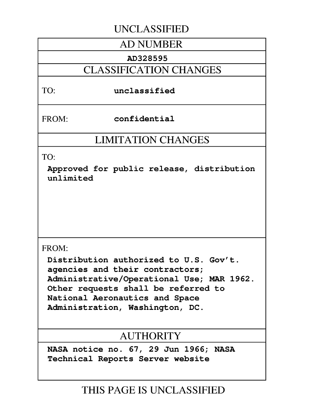# **UNCLASSIFIED**

# **AD NUMBER**

## **AD328595**

## **CLASSIFICATION CHANGES**

## TO: unclassified

FROM: confidential

# **LIMITATION CHANGES**

TO:

Approved for public release, distribution unlimited

## FROM:

Distribution authorized to **U.S.** Gov't. agencies and their contractors; Administrative/Operational Use; MAR **1962.** Other requests shall be referred to National Aeronautics and Space Administration, Washington, **DC.**

# AUTHORITY

**NASA** notice no. **67, 29** Jun **1966; NASA** Technical Reports Server website

**THIS PAGE IS UNCLASSIFIED**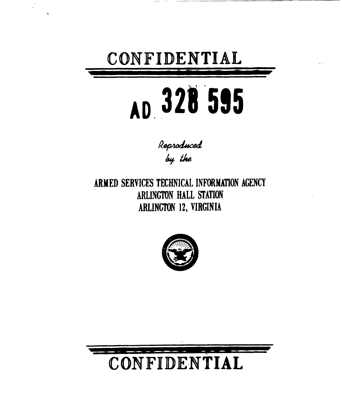

Reproduced<br>by the

ARMED SERVICES TECHNICAL INFORMATION AGENCY ARLINGTON HALL STATION ARLINGTON 12, VIRGINIA



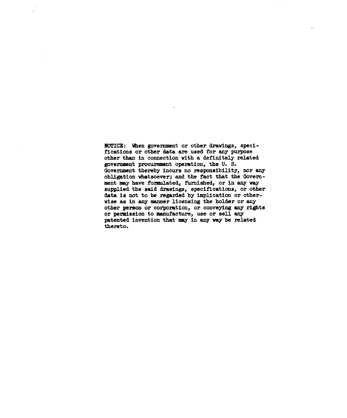NOTICE: When government or other drawings, specifications or other data are used for any purpose other than in connection with a definitely related government procurement operation, the **U. S.** Government thereby incurs no responsibility, nor any obligation whatsoever; and the fact that the Government may have fornmlated, furnished, or in any **way** supplied the said drawings, specifications, or other data is not to be regarded **by** implication or otherwise as in any manner licensing the holder or any other person or corporation, or conveying any rights or permission to manufacture, use or sell any patented invention that may in any way be related thereto.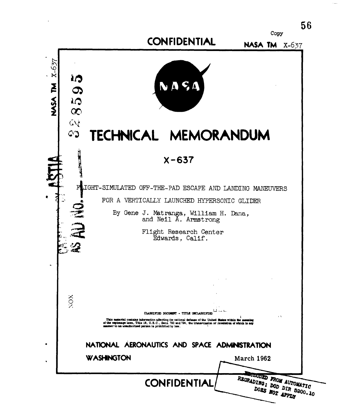|                                                                             |                                                           | <b>CONFIDENTIAL</b>                                                                                                                                                                                                                                                 | Copy<br>NASA TM X-637                                                  | 56 |
|-----------------------------------------------------------------------------|-----------------------------------------------------------|---------------------------------------------------------------------------------------------------------------------------------------------------------------------------------------------------------------------------------------------------------------------|------------------------------------------------------------------------|----|
| NASA TM $X-63$<br><b>LO</b><br>$\boldsymbol{\mathcal{O}}$<br>LO<br>$\infty$ |                                                           | NASA                                                                                                                                                                                                                                                                |                                                                        |    |
| $(\bigwedge_{n=1}^{n} \bigwedge_{n=1}^{n} \mathbb{R})$<br>C                 | TECHNICAL MEMORANDUM                                      |                                                                                                                                                                                                                                                                     |                                                                        |    |
|                                                                             |                                                           | $X - 637$                                                                                                                                                                                                                                                           |                                                                        |    |
|                                                                             | FLIGHT-SIMULATED OFF-THE-PAD ESCAPE AND LANDING MANEUVERS |                                                                                                                                                                                                                                                                     |                                                                        |    |
|                                                                             |                                                           | FOR A VERTICALLY LAUNCHED HYPERSONIC GLIDER                                                                                                                                                                                                                         |                                                                        |    |
|                                                                             |                                                           | By Gene J. Matranga, William H. Dana,<br>and Neil A. Armstrong                                                                                                                                                                                                      |                                                                        |    |
|                                                                             |                                                           | Flight Research Center<br>Edwards, Calif.                                                                                                                                                                                                                           |                                                                        |    |
|                                                                             |                                                           |                                                                                                                                                                                                                                                                     |                                                                        |    |
|                                                                             |                                                           |                                                                                                                                                                                                                                                                     |                                                                        |    |
| XOX                                                                         |                                                           |                                                                                                                                                                                                                                                                     |                                                                        |    |
|                                                                             | manner to an unsuthorized person is prohibited by law.    | CLASSIFIED DOCUMENT - TITLE UNCLASSIFIED<br>This material contains information affecting the national defense of the United States within the meaning<br>of the espionage laws, Title 18, U.S.C., Secs. 793 and 794, the transmission or revelation of which in any | $\left  \cdot \right $                                                 |    |
|                                                                             | NATIONAL AERONAUTICS AND SPACE ADMINISTRATION             |                                                                                                                                                                                                                                                                     |                                                                        |    |
|                                                                             | <b>WASHINGTON</b>                                         |                                                                                                                                                                                                                                                                     | March 1962                                                             |    |
|                                                                             |                                                           | <b>CONFIDENTIAL</b>                                                                                                                                                                                                                                                 | RCLUDED FROM AUTOMATIC<br>REGRADING; DOD DIR 5200.10<br>DOES NOT APPLY |    |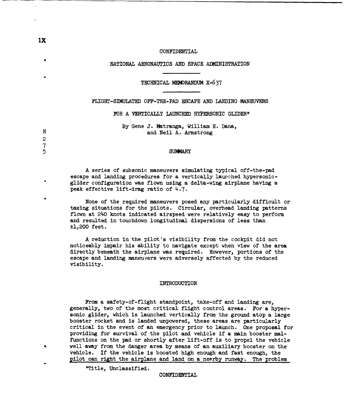#### NATIONAL AERONAUTICS **AND** SPACE ADMINISTRATION

#### TECHNICAL MEMORANDUM X-637

#### FLIGHT-SIMUJLATED OFF-THE-PAD ESCAPE **AND** LANDING MANEUVERS

FOR A VERTICALLY LAUNCHED HYPERSONIC GLIDER\*

By Gene **J.** Matranga, William H. Dana, H and Neil A. Armstrong

### 5 **SUMMARY**

A series of subsonic maneuvers simulating typical off-the-pad escape and landing procedures for a vertically launched hypersonicglider configuration was flown using a delta-wing airplane having a peak effective lift-drag ratio of  $4.7$ .

None of the required maneuvers posed any particularly difficult or taxing situations for the pilots. Circular, overhead landing patterns flown at 240 knots indicated airspeed were relatively easy to perform and resulted in touchdown longitudinal dispersions of less than ±1,200 feet.

A reduction in the pilot's visibility from the cockpit did not noticeably impair his ability to navigate except when view of the area directly beneath the airplane was required. However, portions of the escape and landing maneuvers were adversely affected by the reduced visibility.

#### INTRODUCTION

From a safety-of-flight standpoint, take-off and landing are, generally, two of the most critical flight control areas. For a hypersonic glider, which is launched vertically from the ground atop a large booster rocket and is landed unpowered, these areas are particularly critical in the event of an emergency prior to launch. One proposal for providing for survival of the pilot and vehicle if a main booster malfunctions on the pad or shortly after lift-off is to propel the vehicle well away from the danger area by means of an auxiliary booster on the vehicle. If the vehicle is boosted high enough and fast enough, the pilot can right the airplane and land on a nearby runway. The problem

\*Title, Unclassified.

CONFIDENTIAL

 $\overline{1}$ 

2  $\frac{7}{5}$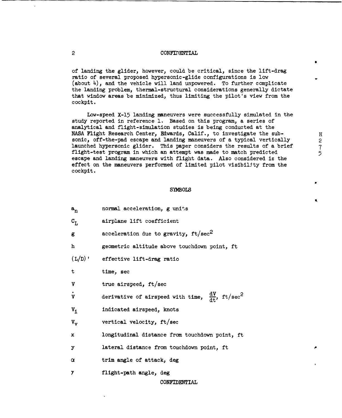of landing the glider, however, could be critical, since the lift-drag ratio of several proposed hypersonic-glide configurations is low (about  $\frac{1}{4}$ ), and the vehicle will land unpowered. To further complicate the landing problem, thermal-structural considerations generally dictate that window areas be minimized, thus limiting the pilot's view from the cockpit.

Low-speed X-15 landing maneuvers were successfully simulated in the study reported in reference 1. Based on this program, a series of analytical and flight-simulation studies is being conducted at the NASA Flight Research Center, Edwards, Calif., to investigate the sub-<br>H sonic, off-the-pad escape and landing maneuvers of a typical vertically  $2$ launched hypersonic glider. This paper considers the results of a brief  $7$ flight-test program in which an attempt was made to match predicted **5** escape and landing maneuvers with flight data. Also considered is the effect on the maneuvers performed of limited pilot visibility from the cockpit.

#### SYMBOLS

 $\pmb{\epsilon}$ 

| $a_{n}$          | normal acceleration, g units                                            |
|------------------|-------------------------------------------------------------------------|
| $C_{T_{\rm s}}$  | airplane lift coefficient                                               |
| g                | acceleration due to gravity, $ft/sec2$                                  |
| h                | geometric altitude above touchdown point, ft                            |
| (L/D)            | effective lift-drag ratio                                               |
| t                | time, sec                                                               |
| v                | true airspeed, ft/sec                                                   |
| $\mathbf v$      | derivative of airspeed with time, $\frac{dV}{dt}$ , ft/sec <sup>2</sup> |
| $V_1$            | indicated airspeed, knots                                               |
| $V_{\mathbf{v}}$ | vertical velocity, ft/sec                                               |
| x                | longitudinal distance from touchdown point, ft                          |
| y                | lateral distance from touchdown point, ft                               |
| α                | trim angle of attack, deg                                               |
| γ                | flight-path angle, deg                                                  |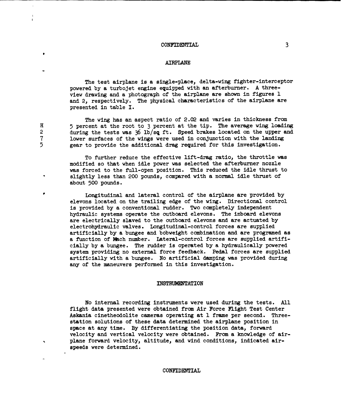$\overline{1}$ 

 $\bullet$ 

#### AIRPLANE

The test airplane is a single-place, delta-wing fighter-interceptor powered by a turbojet engine equipped with an afterburner. A threeview drawing and a photograph of the airplane are shown in figures 1 and 2, respectively. The physical characteristics of the airplane are presented in table I.

The wing has an aspect ratio of 2.02 and varies in thickness from H<sub>5</sub> percent at the root to 3 percent at the tip. The average wing loading 2 during the tests was 36 lb/sq ft. Speed brakes located on the upper and 2 during the tests was  $36 \text{ lb/sq ft.}$  Speed brakes located on the upper and  $7$  lower surfaces of the wings were used in conjunction with the landing 7 lower surfaces of the wings were used in conjunction with the landing<br>5 seem to provide the additional drag required for this investigation. gear to provide the additional drag required for this investigation.

To further reduce the effective lift-drag ratio, the throttle was modified so that when idle power was selected the afterburner nozzle was forced to the full-open position. This reduced the idle thrust to slightly less than 200 pounds, compared with a normal idle thrust of about 500 pounds.

Longitudinal and lateral control of the airplane are provided by elevons located on the trailing edge of the wing. Directional control is provided by a conventional rudder. Two completely independent hydraulic systems operate the outboard elevons. The inboard elevons are electrically slaved to the outboard elevons and are actuated by electrohydraulic valves. Longitudinal-control forces are supplied artificially by a bungee and bobweight combination and are programed as a function of Mach number. Lateral-control forces are supplied artificially by a bungee. The rudder is operated by a hydraulically powered system providing no external force feedback. Pedal forces are supplied artificially with a bungee. No artificial damping was provided during any of the maneuvers performed in this investigation.

#### INSTRUMENTATION

No internal recording instruments were used during the tests. All flight data presented were obtained from Air Force Flight Test Center Askania cinetheodolite cameras operating at **I** frame per second. Threestation solutions of these data determined the airplane position in space at any time. **By** differentiating the position data, forward velocity and vertical velocity were obtained. From a knowledge of airplane forward velocity, altitude, and wind conditions, indicated airspeeds were determined.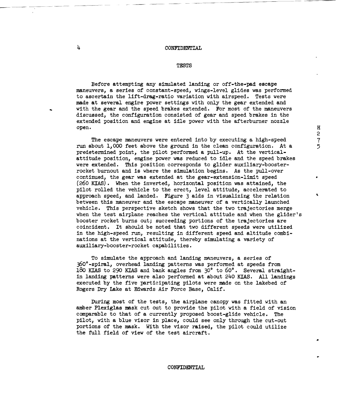#### **TESTS**

Before attempting any simulated landing or off-the-pad escape maneuvers, a series of constant-speed, wings-level glides was performed to ascertain the lift-drag-ratio variation with airspeed. Tests were made at several engire power settings with only the gear extended and with the gear and the speed brakes extended. For most of the maneuvers discussed, the configuration consisted of gear and speed brakes in the extended position and engine at idle power with the afterburner nozzle open. H

The escape maneuvers were entered into by executing a high-speed  $7$ <br>bout 1,000 feet above the ground in the clean configuration. At a run about 1,000 feet above the ground in the clean configuration. At a predetermined point, the pilot performed a pull-up. At the verticalattitude position, engine power was reduced to idle and the speed brakes were extended. This position corresponds to glider auxiliary-boosterrocket burnout and is where the simulation begins. As the pull-over continued, the gear was extended at the gear-extension-limit speed (260 KIAS). When the inverted, horizontal position was attained, the pilot rolled the vehicle to the erect, level attitude, accelerated to approach speed, and landed. Figure 3 aids in visualizing the relation between this maneuver and the escape maneuver of a vertically launched vehicle. This perspective sketch shows that the two trajectories merge when the test airplane reaches the vertical attitude and when the glider's booster rocket burns out; succeeding portions of the trajectories are coincident. It should be noted that two different speeds were utilized in the high-speed run, resulting in different speed and altitude combinations at the vertical attitude, thereby simulating a variety of auxiliary-booster-rocket capabilities.

To simulate the approach and landing maneuvers, a series of 360\*-spiral, overhead landing patterns was performed at speeds from 180 KIAS to 290 KIAS and bank angles from 30° to 60°. Several straightin landing patterns were also performed at about 240 KIAS. All landings executed by the five participating pilots were made on the lakebed of Rogers Dry Lake at Edwards Air Force Base, Calif.

During most of the tests, the airplane canopy was fitted with an amber Plexiglas mask cut out to provide the pilot with a field of vision comparable to that of a currently proposed boost-glide vehicle. The pilot, with a blue visor in place, could see only through the cut-out portions of the mask. With the visor raised, the pilot could utilize the full field of view of the test aircraft.

2

 $\bullet$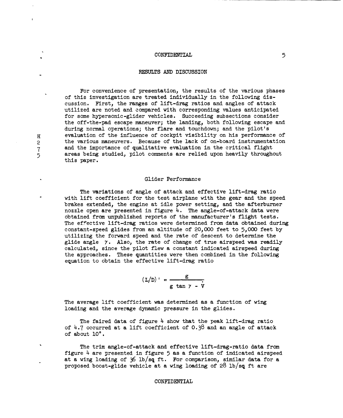#### RESULTS **AND** DISCUSSION

For convenience of presentation, the results of the various phases of this investigation are treated individually in the following discussion. First, the ranges of lift-drag ratios and angles of attack utilized are noted and compared with corresponding values anticipated for some hypersonic-glider vehicles. Succeeding subsections consider the off-the-pad escape maneuver; the landing, both following escape and during normal operations; the flare and touchdown; and the pilot's H evaluation of the influence of cockpit visibility on his performance of 2 the various maneuvers. Because of the lack of on-board instrumentation 7 and the importance of qualitative evaluation in the critical flight **5** areas being studied, pilot comments are relied upon heavily throughout this paper.

#### Glider Performance

The variations of angle of attack and effective lift-drag ratio with lift coefficient for the test airplane with the gear and the speed brakes extended, the engine at idle power setting, and the afterburner nozzle open are presented in figure  $4$ . The angle-of-attack data were obtained from unpublished reports of the manufacturer's flight tests. The effective lift-drag ratios were determined from data obtained during constant-speed glides from an altitude of 20,000 feet to 5,000 feet by utilizing the forward speed and the rate of descent to determine the glide angle **Y.** Also, the rate of change of true airspeed was readily calculated, since the pilot flew a constant indicated airspeed during the approaches. These quantities were then combined in the following equation to obtain the effective lift-drag ratio

$$
(L/D)' = \frac{g}{g \tan \gamma - V}
$$

The average lift coefficient was determined as a function of wing loading and the average dynamic pressure in the glides.

The faired data of figure  $4$  show that the peak lift-drag ratio of 4.7 occurred at a lift coefficient of  $0.38$  and an angle of attack of about 10°.

The trim angle-of-attack and effective lift-drag-ratio data from figure  $4$  are presented in figure  $5$  as a function of indicated airspeed at a wing loading of 36 lb/sq ft. For comparison, similar data for a proposed boost-glide vehicle at a wing loading of  $28$  lb/sq ft are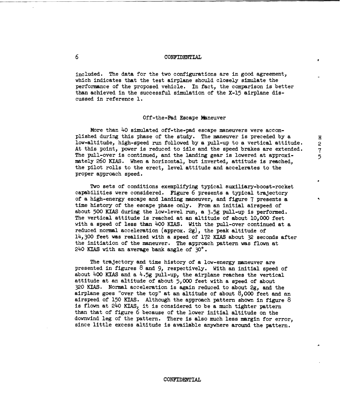included. The data for the two configurations are in good agreement, which indicates that the test airplane should closely simulate the performance of the proposed vehicle. In fact, the comparison is better than achieved in the successful simulation of the X-15 airplane discussed in reference **1.**

#### Off-the-Pad Escape Maneuver

More than 40 simulated off-the-pad escape maneuvers were accomplished during this phase of the study. The maneuver is preceded **by** a H low-altitude, high-speed run followed by a pull-up to a vertical attitude.  $2$ At this point, power is reduced to idle and the speed brakes are extended. **7** The pull-over is continued, and the landing gear is lowered at approxi- **5** mately 260 **KIAS.** When a horizontal, but inverted, attitude is reached, the pilot rolls to the erect, level attitude and accelerates to the proper approach speed.

Two sets of conditions exemplifying typical auxiliary-boost-rocket capabilities were considered. Figure **6** presents a typical trajectory of a high-energy escape and landing maneuver, and figure 7 presents a time history of the escape phase only. From an initial airspeed of about **500** KIAS during the low-level run, a **3.59g** pull-up is performed. The vertical attitude is reached at an altitude of about **10,000** feet with a speed of less than 400 KIAS. With the pull-over continued at a reduced normal acceleration (approx. 2g), the peak altitude of 14,300 feet was realized with a speed of 172 KIAS about **32** seconds after the initiation of the maneuver. The approach pattern was flown at 240 KIAS with an average bank angle **of 300.**

 $\bullet$ 

The trajectory and time history of a low-energy maneuver are presented in figures  $8$  and  $9$ , respectively. With an initial speed of about  $400$  KIAS and a  $4.5g$  pull-up, the airplane reaches the vertical attitude at an altitude of about 5,000 feet with a speed of about 320 KIAS. Normal acceleration is again reduced to about 2g, and the airplane goes "over the top" at an altitude of about 8,000 feet and an airspeed of **150** KIAS. Although the approach pattern shown in figure 8 is flown at 240 KIAS, it is considered to be a much tighter pattern than that of figure 6 because of the lower initial altitude on the downwind leg of the pattern. There is also much less margin for error, since little excess altitude is available anywhere around the pattern.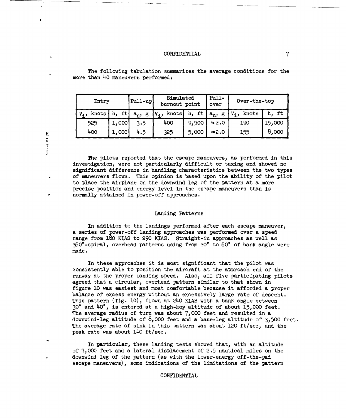|   | Entry                    |                       | Pull-up!                | Simulated<br>burnout point |          | Pull-<br>over | Over-the-top     |          |
|---|--------------------------|-----------------------|-------------------------|----------------------------|----------|---------------|------------------|----------|
|   | $V_{\rm t}$ ,<br>knots / | ft <sub>l</sub><br>h, | $\mathbf{g}$<br>$a_{n}$ | $V_1$<br>knots             | ft<br>h, | g<br>$a_n$    | $V_1$ ,<br>knots | ft<br>h, |
|   | 525                      | 1,000                 | 3.5                     | 400                        | 9,500    | $\approx$ 2.0 | 190              | 15,000   |
| Н | 400                      | 1,000                 | 4.5                     | 325                        | 5,000    | $\approx 2.0$ | 155              | 8,000    |

The following tabulation summarizes the average conditions for the more than 40 maneuvers performed:

The pilots reported that the escape maneuvers, as performed in this investigation, were not particularly difficult or taxing and showed no significant difference in handling characteristics between the two types of maneuvers flown. This opinion is based upon the ability of the pilot to place the airplane on the downwind leg of the pattern at a more precise position and energy level in the escape maneuvers than is normally attained in power-off approaches.

#### Landing Patterns

In addition to the landings performed after each escape maneuver, a series of power-off landing approaches was performed over a speed range from 180 KIAS to 290 KIAS. Straight-in approaches as well as 3600-spiral, overhead patterns using from **300** to **600** of bank angle were made.

In these approaches it is most significant that the pilot was consistently able to position the aircraft at the approach end of the runway at the proper landing speed. Also, all five participating pilots agreed that a circular, overhead pattern similar to that shown in figure **10** was easiest and most comfortable because it afforded a proper balance of excess energy without an excessively large rate of descent. This pattern (fig. 10), flown at 240 KIAS with a bank angle between **300** and 400, is entered at a high-key altitude of about 15,000 feet. The average radius of turn was about 7,000 feet and resulted in a downwind-leg altitude of  $8,000$  feet and a base-leg altitude of  $3,500$  feet. The average rate of sink in this pattern was about  $120$  ft/sec, and the peak rate was about 140 ft/sec.

In particular, these landing tests showed that, with an altitude of 7,000 feet and a lateral displacement of **2.5** nautical miles on the downwind leg of the pattern (as with the lower-energy off-the-pad escape maneuvers), some indications of the limitations of the pattern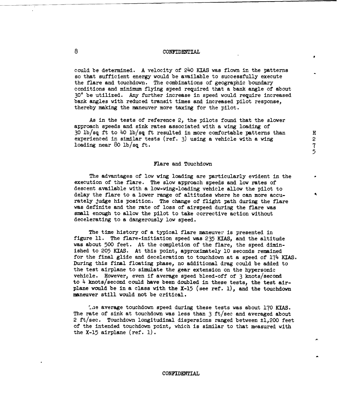could be determined. A velocity of 240 KIAS was flown in the patterns so that sufficient energy would be available to successfully execute the flare and touchdown. The combinations of geographic boundary conditions and minimum flying speed required that a bank angle of about **300** be utilized. Any further increase in speed would require increased bank angles with reduced transit times and increased pilot response, thereby making the maneuver more taxing for the pilot.

As in the tests of reference 2, the pilots found that the slower approach speeds and sink rates associated with a wing loading of 30 lb/sq ft to 40 lb/sq ft resulted in more comfortable patterns than  $H$ experienced in similar tests (ref. 3) using a vehicle with a wing 2<br>loading near 80 lb/sq ft.  $7$ loading near 80 lb/sq ft.

#### Flare and Touchdown

5

The advantages of low wing loading are particularly evident in the execution of the flare. The slow approach speeds and low rates of descent available with a low-wing-loading vehicle allow the pilot to delay the flare to a lower range of altitudes where he can more accurately judge his position. The change of flight path during the flare was definite and the rate of loss of airspeed during the flare was small enough to allow the pilot to take corrective action without decelerating to a dangerously low speed.

The time history of a typical flare maneuver is presented in figure **11.** The flare-initiation speed was **235** KIAS, and the altitude was about **500** feet. At the completion of the flare, the speed diminished to **205 KIAS.** At this point, approximately **10** seconds remained for the final glide and deceleration to touchdown at a speed of 174 KIAS. During this final floating phase, no additional drag could be added to the test airplane to simulate the gear extension on the hypersonic vehicle. However, even if average speed bleed-off of 3 knots/second to 4 knots/second could have been doubled in these tests, the test airplane would be in a class with the X-15 (see ref. 1), and the touchdown maneuver still would not be critical.

the average touchdown speed during these tests was about 170 KIAS. The rate of sink at touchdown was less than  $3$  ft/sec and averaged about 2 ft/sec. Touchdown longitudinal dispersions ranged between ±1,200 feet of the intended touchdown point, which is similar to that measured with the X-15 airplane (ref. 1).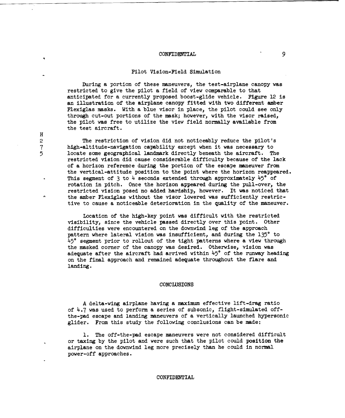#### Pilot Vision-Field Simulation

During a portion of these maneuvers, the test-airplane canopy was restricted to give the pilot a field of view comparable to that anticipated for a currently proposed boost-glide vehicle. Figure 12 is an illustration of the airplane canopy fitted with two different amber Plexiglas masks. With a blue visor in place, the pilot could see only through cut-out portions of the mask; however, with the visor raised, the pilot was free to utilize the view field normally available from the test aircraft.

2 The restriction of vision did not noticeably reduce the pilot's<br>
7 high-altitude-navigation capability except when it was necessary to high-altitude-navigation capability except when it was necessary to 5locate some geographical landmark directly beneath the aircraft. The restricted vision did cause considerable difficulty because of the lack of a horizon reference during the portion of the escape maneuver from the vertical-attitude position to the point where the horizon reappeared. This segment of 3 to 4 seconds extended through approximately  $45^{\circ}$  of rotation in pitch. Once the horizon appeared during the pull-over, the restricted vision posed no added hardship, however. It was noticed that the amber Plexiglas without the visor lowered was sufficiently restrictive to cause a noticeable deterioration in the quality of the maneuver.

> Location of the high-key point was difficult with the restricted visibility, since the vehicle passed directly over this point. Other difficulties were encountered on the downwind leg of the approach pattern where lateral vision was insufficient, and during the **1350** to 450 segment prior to rollout of the tight patterns where a view through the masked corner of the canopy was desired. Otherwise, vision was adequate after the aircraft had arrived within **450** of the runway heading on the final approach and remained adequate throughout the flare and landing.

#### **CONCLUSIONS**

A delta-wing airplane having a maximum effective lift-drag ratio of  $4.7$  was used to perform a series of subsonic, flight-simulated offthe-pad escape and landing maneuvers of a vertically launched hypersonic glider. From this study the following conclusions can be made:

1. The off-the-pad escape maneuvers were not considered difficult or taxing by the pilot and were such that the pilot could position the airplane on the downwind leg more precisely than he could in normal power-off approaches.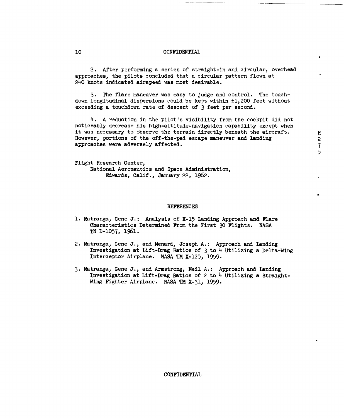2. After performing a series of straight-in and circular, overhead approaches, the pilots concluded that a circular pattern flown at 240 knots indicated airspeed was most desirable.

**3.** The flare maneuver was easy to Judge and control. The touchdown longitudinal dispersions could be kept within ±1,200 feet without exceeding a touchdown rate of descent **of 3** feet per second.

4. **A** reduction in the pilot's visibility from the cockpit did not noticeably decrease his high-altitude-navigation capability except when it was necessary to observe the terrain directly beneath the aircraft. H However, portions of the off-the-pad escape maneuver and landing 2 approaches were adversely affected.  $7$ 

5

Flight Research Center, National Aeronautics and Space Administration, Edwards, Calif., January 22, **1962.**

#### REFERENCES

- 1. Matranga, Gene **J.:** Analysis of X-15 Landing Approach and Flare Characteristics Determined From the First 30 Flights. NASA TN D-1057, 1961.
- 2. Matranga, Gene J., and Menard, Joseph A.: Approach and Landing Investigation at Lift-Drag Ratios of 3 to 4 Utilizing a Delta-Wing Interceptor Airplane. NASA TM X-125, 1959.
- 3. Matranga, Gene J., and Armstrong, Neil A.: Approach and Landing Investigation at Lift-Drag Ratios of 2 to 4 Utilizing a Straight-Wing Fighter Airplane. NASA TM X-31, 1959.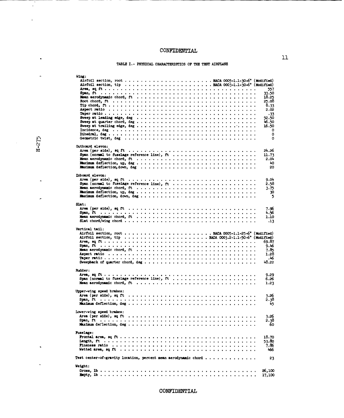#### TABLE I.- PHYSICAL CHARACTERISTICS OF THE TEST AIRPLANE

| Wing:                                                                                                                                   |  |  |  |  |  |  |  |  |  |  |  |                  |
|-----------------------------------------------------------------------------------------------------------------------------------------|--|--|--|--|--|--|--|--|--|--|--|------------------|
|                                                                                                                                         |  |  |  |  |  |  |  |  |  |  |  |                  |
|                                                                                                                                         |  |  |  |  |  |  |  |  |  |  |  |                  |
|                                                                                                                                         |  |  |  |  |  |  |  |  |  |  |  | 557              |
|                                                                                                                                         |  |  |  |  |  |  |  |  |  |  |  | 33.50            |
|                                                                                                                                         |  |  |  |  |  |  |  |  |  |  |  | 18.25            |
|                                                                                                                                         |  |  |  |  |  |  |  |  |  |  |  | 25.08            |
|                                                                                                                                         |  |  |  |  |  |  |  |  |  |  |  | 8.33             |
|                                                                                                                                         |  |  |  |  |  |  |  |  |  |  |  | 2.02             |
|                                                                                                                                         |  |  |  |  |  |  |  |  |  |  |  | .33              |
|                                                                                                                                         |  |  |  |  |  |  |  |  |  |  |  | 52.50            |
|                                                                                                                                         |  |  |  |  |  |  |  |  |  |  |  | 46.50            |
|                                                                                                                                         |  |  |  |  |  |  |  |  |  |  |  | 16.50            |
|                                                                                                                                         |  |  |  |  |  |  |  |  |  |  |  | $\circ$          |
|                                                                                                                                         |  |  |  |  |  |  |  |  |  |  |  | $\circ$          |
|                                                                                                                                         |  |  |  |  |  |  |  |  |  |  |  | $\circ$          |
| Outboard elevon:                                                                                                                        |  |  |  |  |  |  |  |  |  |  |  |                  |
|                                                                                                                                         |  |  |  |  |  |  |  |  |  |  |  | 24.26            |
|                                                                                                                                         |  |  |  |  |  |  |  |  |  |  |  | 11.73            |
|                                                                                                                                         |  |  |  |  |  |  |  |  |  |  |  | 2.04             |
|                                                                                                                                         |  |  |  |  |  |  |  |  |  |  |  | 40               |
|                                                                                                                                         |  |  |  |  |  |  |  |  |  |  |  | 20               |
|                                                                                                                                         |  |  |  |  |  |  |  |  |  |  |  |                  |
| Inboard elevon:                                                                                                                         |  |  |  |  |  |  |  |  |  |  |  |                  |
|                                                                                                                                         |  |  |  |  |  |  |  |  |  |  |  | 9.04             |
|                                                                                                                                         |  |  |  |  |  |  |  |  |  |  |  | 2.58             |
|                                                                                                                                         |  |  |  |  |  |  |  |  |  |  |  | 3.75             |
|                                                                                                                                         |  |  |  |  |  |  |  |  |  |  |  | 30               |
| Maximum deflection, down, deg                                                                                                           |  |  |  |  |  |  |  |  |  |  |  | 5                |
|                                                                                                                                         |  |  |  |  |  |  |  |  |  |  |  |                  |
| Slat:                                                                                                                                   |  |  |  |  |  |  |  |  |  |  |  |                  |
|                                                                                                                                         |  |  |  |  |  |  |  |  |  |  |  | 7.96             |
|                                                                                                                                         |  |  |  |  |  |  |  |  |  |  |  | 4.56             |
|                                                                                                                                         |  |  |  |  |  |  |  |  |  |  |  | 1.10             |
|                                                                                                                                         |  |  |  |  |  |  |  |  |  |  |  | $-13$            |
| Vertical tail:                                                                                                                          |  |  |  |  |  |  |  |  |  |  |  |                  |
|                                                                                                                                         |  |  |  |  |  |  |  |  |  |  |  |                  |
|                                                                                                                                         |  |  |  |  |  |  |  |  |  |  |  |                  |
|                                                                                                                                         |  |  |  |  |  |  |  |  |  |  |  |                  |
|                                                                                                                                         |  |  |  |  |  |  |  |  |  |  |  |                  |
|                                                                                                                                         |  |  |  |  |  |  |  |  |  |  |  | 69.87<br>9.46    |
| Mean aerodynamic chord, ft, $\ldots$ , $\ldots$ , $\ldots$ , $\ldots$ , $\ldots$ , $\ldots$ , $\ldots$ , $\ldots$ , $\ldots$ , $\ldots$ |  |  |  |  |  |  |  |  |  |  |  |                  |
|                                                                                                                                         |  |  |  |  |  |  |  |  |  |  |  | 7.85             |
|                                                                                                                                         |  |  |  |  |  |  |  |  |  |  |  | 1.28<br>.46      |
|                                                                                                                                         |  |  |  |  |  |  |  |  |  |  |  | 48.22            |
|                                                                                                                                         |  |  |  |  |  |  |  |  |  |  |  |                  |
| Rudder:                                                                                                                                 |  |  |  |  |  |  |  |  |  |  |  |                  |
|                                                                                                                                         |  |  |  |  |  |  |  |  |  |  |  | 9.29             |
|                                                                                                                                         |  |  |  |  |  |  |  |  |  |  |  | 6.26             |
|                                                                                                                                         |  |  |  |  |  |  |  |  |  |  |  | 1.23             |
|                                                                                                                                         |  |  |  |  |  |  |  |  |  |  |  |                  |
| Upper-wing speed brakes:                                                                                                                |  |  |  |  |  |  |  |  |  |  |  |                  |
|                                                                                                                                         |  |  |  |  |  |  |  |  |  |  |  | 3.26             |
|                                                                                                                                         |  |  |  |  |  |  |  |  |  |  |  | 2.38<br>45       |
|                                                                                                                                         |  |  |  |  |  |  |  |  |  |  |  |                  |
| Lower-wing speed brakes:                                                                                                                |  |  |  |  |  |  |  |  |  |  |  |                  |
| Area (per side), sq ft                                                                                                                  |  |  |  |  |  |  |  |  |  |  |  | 3.26             |
|                                                                                                                                         |  |  |  |  |  |  |  |  |  |  |  | 2.38             |
|                                                                                                                                         |  |  |  |  |  |  |  |  |  |  |  | 60               |
|                                                                                                                                         |  |  |  |  |  |  |  |  |  |  |  |                  |
| <b>Fuselage:</b>                                                                                                                        |  |  |  |  |  |  |  |  |  |  |  |                  |
|                                                                                                                                         |  |  |  |  |  |  |  |  |  |  |  | 18.70            |
|                                                                                                                                         |  |  |  |  |  |  |  |  |  |  |  | 53.80            |
|                                                                                                                                         |  |  |  |  |  |  |  |  |  |  |  | 7.86             |
|                                                                                                                                         |  |  |  |  |  |  |  |  |  |  |  | 466              |
| Test center-of-gravity location, percent mean aerodynamic chord                                                                         |  |  |  |  |  |  |  |  |  |  |  | 23               |
|                                                                                                                                         |  |  |  |  |  |  |  |  |  |  |  |                  |
| Weight:                                                                                                                                 |  |  |  |  |  |  |  |  |  |  |  |                  |
|                                                                                                                                         |  |  |  |  |  |  |  |  |  |  |  | 26,100<br>17,100 |

 $\overline{a}$ 

 $\bar{\star}$ 

 $\bullet$ 

 $\mathbf{x}^{(i)}$  .

 $\mathcal{L}_{\mathcal{A}}$ 

Ţ

 $\bar{V}$ 

 $\bullet$ 

 $\bar{\star}$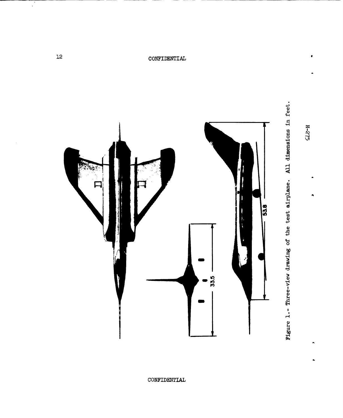



 $H - 275$ 

 $\ddot{\phantom{a}}$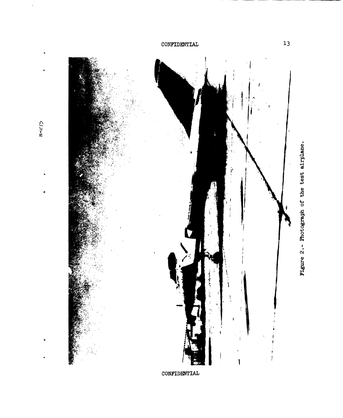

Figure 2.- Photograph of the test airplane.

 $13$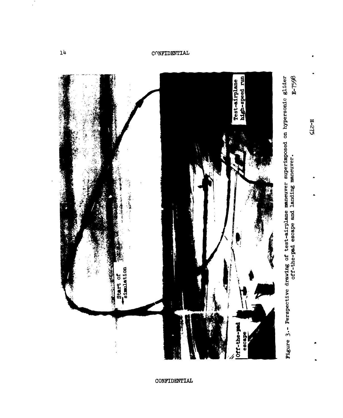

Figure 3.- Perspective drawing of test-airplane maneuver superimposed on hypersonic glider<br>off-the-pad escape and landing maneuver.

E-7598

 $H - 275$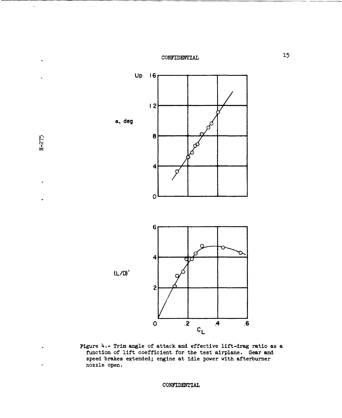CONFIDENTIAL **15**



Figure **4.-** Trim angle of attack and effective lift-drag ratio as a function of lift coefficient for the test airplane. Gear and speed brakes extended; engine at idle power with afterburner nozzle open.

H-275

 $\bar{t}$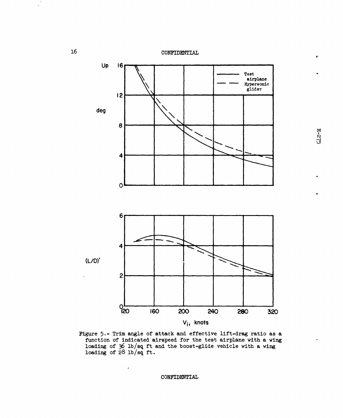

Figure **5.-** Trim angle of attack and effective lift-drag ratio as a function of indicated airspeed for the test airplane with a wing loading of 36 lb/sq ft and the boost-glide vehicle with a wing loading of 28 lb/sq ft.

CONFIDENTIAL

# $H - 275$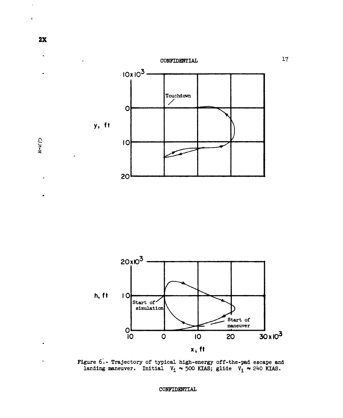



Figure 6.- Trajectory of typical high-energy off-the-pad escape and landing maneuver. Initial  $V_1 \approx 500$  KIAS; glide  $V_1 \approx 240$  KIAS

 $\tilde{\phantom{a}}$ 

 $H - Z' (7)$ 

 $\ddot{\phantom{0}}$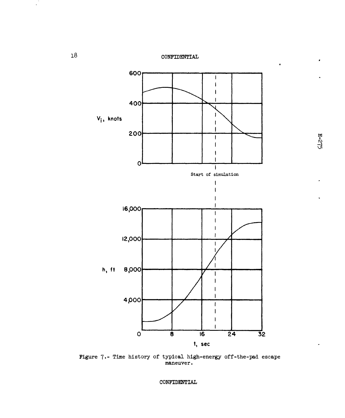

Figure 7.- Time history of typical high-energy off-the-pad escape maneuver.

 $\hat{\mathcal{L}}$ 

 $\cdot$ 

 $\ast$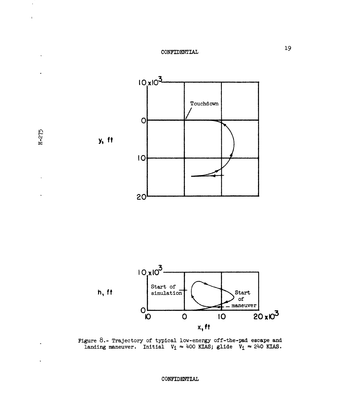

 $\bar{z}$ 

 $\mathbf{I}$ 

 $H - 275$ 

 $\ddot{\phantom{0}}$ 

 $\blacksquare$ 

 $\ddot{\phantom{0}}$ 



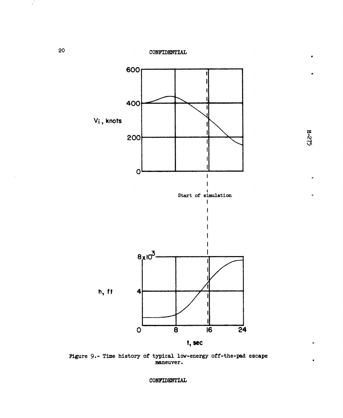

 $H - 275$ 

 $\bullet$ 

Figure **9.-** Time history of typical low-energy off-the-pad escape maneuver.

CONFIDENTIAL

 $\hat{\mathcal{A}}$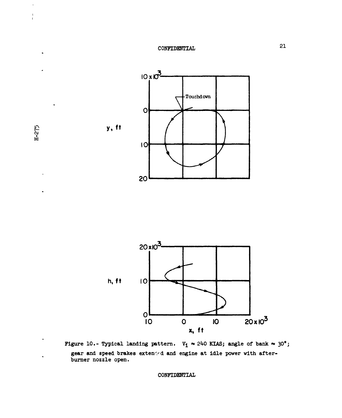

 $\frac{1}{1}$ 

 $\ddot{\phantom{a}}$ 



Figure 10.- Typical landing pattern.  $V_1 \approx 240$  KIAS; angle of bank  $\approx 30^\circ$ ; gear and speed brakes extended and engine at idle power with afterburner nozzle open.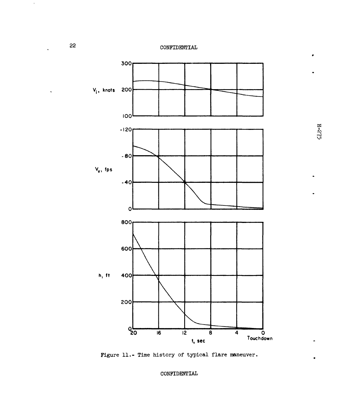

Figure 11.- Time history of typical flare maneuver.

 $\hat{\mathcal{A}}$ 

 $\ddot{\phantom{a}}$ 

 $\ddot{\phantom{1}}$ 

 $\bullet$ 

 $\blacksquare$ 

 $\bullet$ 

 $\bullet$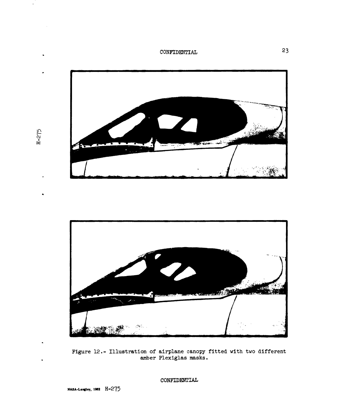



Figure 12.- Illustration of airplane canopy fitted with two different amber Plexiglas masks.

CONFIDENTIAL

**NASA-Langley, 1962 H-275**